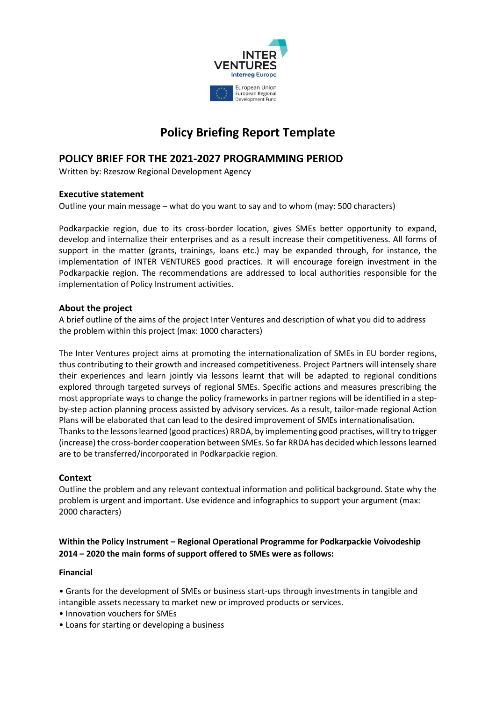

# **Policy Briefing Report Template**

# **POLICY BRIEF FOR THE 2021-2027 PROGRAMMING PERIOD**

Written by: Rzeszow Regional Development Agency

# **Executive statement**

Outline your main message – what do you want to say and to whom (may: 500 characters)

Podkarpackie region, due to its cross-border location, gives SMEs better opportunity to expand, develop and internalize their enterprises and as a result increase their competitiveness. All forms of support in the matter (grants, trainings, loans etc.) may be expanded through, for instance, the implementation of INTER VENTURES good practices. It will encourage foreign investment in the Podkarpackie region. The recommendations are addressed to local authorities responsible for the implementation of Policy Instrument activities.

#### **About the project**

A brief outline of the aims of the project Inter Ventures and description of what you did to address the problem within this project (max: 1000 characters)

The Inter Ventures project aims at promoting the internationalization of SMEs in EU border regions, thus contributing to their growth and increased competitiveness. Project Partners will intensely share their experiences and learn jointly via lessons learnt that will be adapted to regional conditions explored through targeted surveys of regional SMEs. Specific actions and measures prescribing the most appropriate ways to change the policy frameworks in partner regions will be identified in a stepby-step action planning process assisted by advisory services. As a result, tailor-made regional Action Plans will be elaborated that can lead to the desired improvement of SMEs internationalisation. Thanks to the lessons learned (good practices) RRDA, by implementing good practises, will try to trigger (increase) the cross-border cooperation between SMEs. So far RRDA has decided which lessons learned are to be transferred/incorporated in Podkarpackie region.

# **Context**

Outline the problem and any relevant contextual information and political background. State why the problem is urgent and important. Use evidence and infographics to support your argument (max: 2000 characters)

# **Within the Policy Instrument – Regional Operational Programme for Podkarpackie Voivodeship 2014 – 2020 the main forms of support offered to SMEs were as follows:**

#### **Financial**

• Grants for the development of SMEs or business start-ups through investments in tangible and intangible assets necessary to market new or improved products or services.

- Innovation vouchers for SMEs
- Loans for starting or developing a business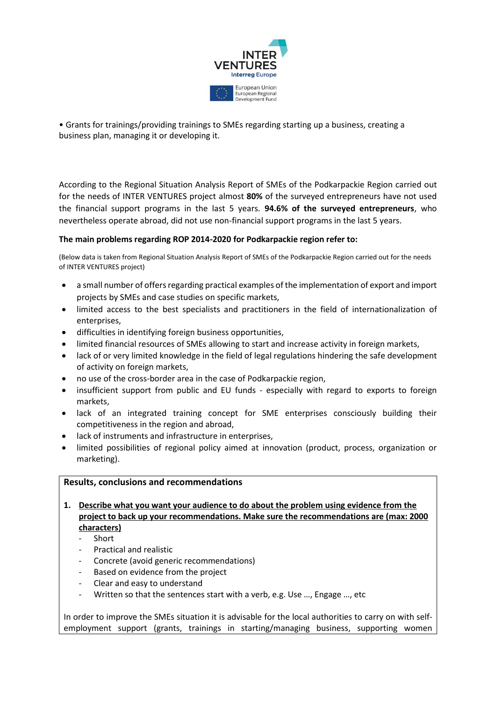

• Grants for trainings/providing trainings to SMEs regarding starting up a business, creating a business plan, managing it or developing it.

According to the Regional Situation Analysis Report of SMEs of the Podkarpackie Region carried out for the needs of INTER VENTURES project almost **80%** of the surveyed entrepreneurs have not used the financial support programs in the last 5 years. **94.6% of the surveyed entrepreneurs**, who nevertheless operate abroad, did not use non-financial support programs in the last 5 years.

#### **The main problems regarding ROP 2014-2020 for Podkarpackie region refer to:**

(Below data is taken from Regional Situation Analysis Report of SMEs of the Podkarpackie Region carried out for the needs of INTER VENTURES project)

- a small number of offers regarding practical examples of the implementation of export and import projects by SMEs and case studies on specific markets,
- limited access to the best specialists and practitioners in the field of internationalization of enterprises,
- difficulties in identifying foreign business opportunities,
- limited financial resources of SMEs allowing to start and increase activity in foreign markets,
- lack of or very limited knowledge in the field of legal regulations hindering the safe development of activity on foreign markets,
- no use of the cross-border area in the case of Podkarpackie region,
- insufficient support from public and EU funds especially with regard to exports to foreign markets,
- lack of an integrated training concept for SME enterprises consciously building their competitiveness in the region and abroad,
- lack of instruments and infrastructure in enterprises,
- limited possibilities of regional policy aimed at innovation (product, process, organization or marketing).

#### **Results, conclusions and recommendations**

- **1. Describe what you want your audience to do about the problem using evidence from the project to back up your recommendations. Make sure the recommendations are (max: 2000 characters)**
	- **Short**
	- Practical and realistic
	- Concrete (avoid generic recommendations)
	- Based on evidence from the project
	- Clear and easy to understand
	- Written so that the sentences start with a verb, e.g. Use ..., Engage ..., etc

In order to improve the SMEs situation it is advisable for the local authorities to carry on with selfemployment support (grants, trainings in starting/managing business, supporting women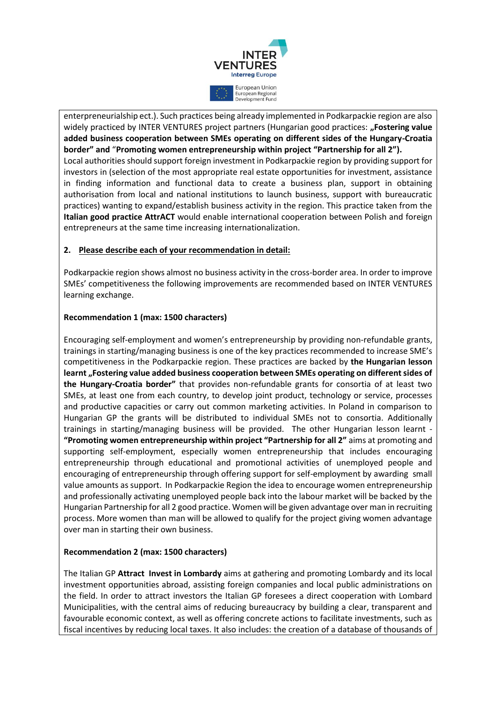

enterpreneurialship ect.). Such practices being already implemented in Podkarpackie region are also widely practiced by INTER VENTURES project partners (Hungarian good practices: "Fostering value **added business cooperation between SMEs operating on different sides of the Hungary-Croatia border" and** "**Promoting women entrepreneurship within project "Partnership for all 2").** Local authorities should support foreign investment in Podkarpackie region by providing support for investors in (selection of the most appropriate real estate opportunities for investment, assistance in finding information and functional data to create a business plan, support in obtaining authorisation from local and national institutions to launch business, support with bureaucratic practices) wanting to expand/establish business activity in the region. This practice taken from the **Italian good practice AttrACT** would enable international cooperation between Polish and foreign entrepreneurs at the same time increasing internationalization.

#### **2. Please describe each of your recommendation in detail:**

Podkarpackie region shows almost no business activity in the cross-border area. In order to improve SMEs' competitiveness the following improvements are recommended based on INTER VENTURES learning exchange.

#### **Recommendation 1 (max: 1500 characters)**

Encouraging self-employment and women's entrepreneurship by providing non-refundable grants, trainings in starting/managing business is one of the key practices recommended to increase SME's competitiveness in the Podkarpackie region. These practices are backed by **the Hungarian lesson learnt "Fostering value added business cooperation between SMEs operating on different sides of the Hungary-Croatia border"** that provides non-refundable grants for consortia of at least two SMEs, at least one from each country, to develop joint product, technology or service, processes and productive capacities or carry out common marketing activities. In Poland in comparison to Hungarian GP the grants will be distributed to individual SMEs not to consortia. Additionally trainings in starting/managing business will be provided. The other Hungarian lesson learnt - **"Promoting women entrepreneurship within project "Partnership for all 2"** aims at promoting and supporting self-employment, especially women entrepreneurship that includes encouraging entrepreneurship through educational and promotional activities of unemployed people and encouraging of entrepreneurship through offering support for self-employment by awarding small value amounts as support. In Podkarpackie Region the idea to encourage women entrepreneurship and professionally activating unemployed people back into the labour market will be backed by the Hungarian Partnership for all 2 good practice. Women will be given advantage over man in recruiting process. More women than man will be allowed to qualify for the project giving women advantage over man in starting their own business.

#### **Recommendation 2 (max: 1500 characters)**

The Italian GP **Attract Invest in Lombardy** aims at gathering and promoting Lombardy and its local investment opportunities abroad, assisting foreign companies and local public administrations on the field. In order to attract investors the Italian GP foresees a direct cooperation with Lombard Municipalities, with the central aims of reducing bureaucracy by building a clear, transparent and favourable economic context, as well as offering concrete actions to facilitate investments, such as fiscal incentives by reducing local taxes. It also includes: the creation of a database of thousands of